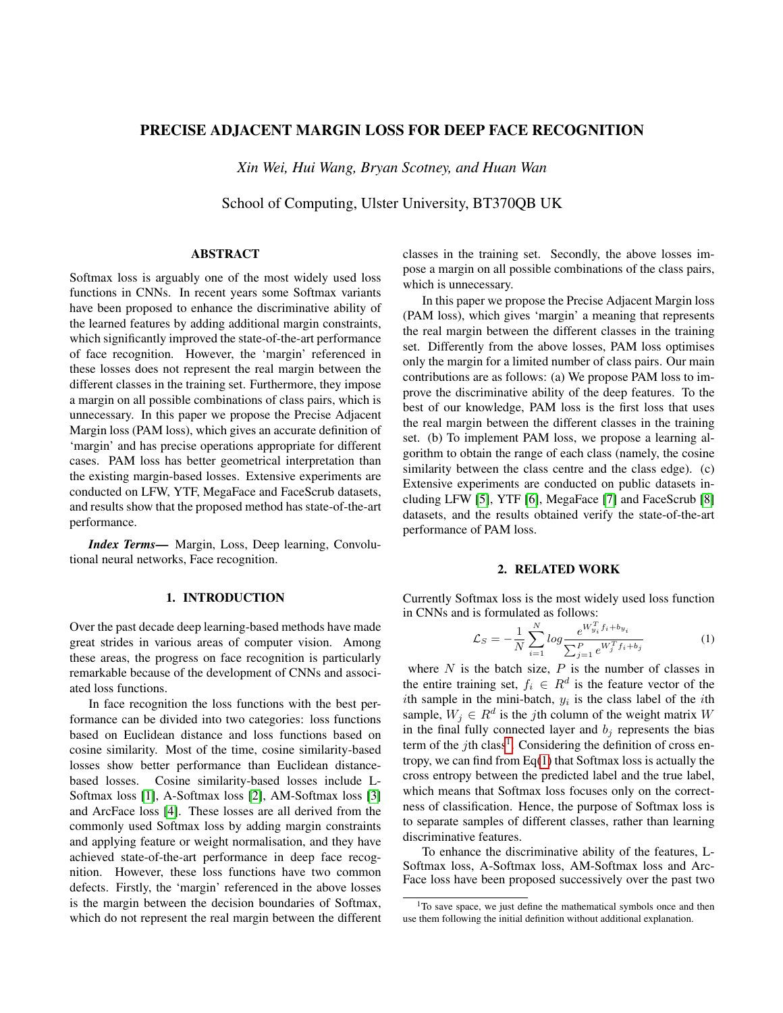# PRECISE ADJACENT MARGIN LOSS FOR DEEP FACE RECOGNITION

*Xin Wei, Hui Wang, Bryan Scotney, and Huan Wan*

School of Computing, Ulster University, BT370QB UK

# ABSTRACT

Softmax loss is arguably one of the most widely used loss functions in CNNs. In recent years some Softmax variants have been proposed to enhance the discriminative ability of the learned features by adding additional margin constraints, which significantly improved the state-of-the-art performance of face recognition. However, the 'margin' referenced in these losses does not represent the real margin between the different classes in the training set. Furthermore, they impose a margin on all possible combinations of class pairs, which is unnecessary. In this paper we propose the Precise Adjacent Margin loss (PAM loss), which gives an accurate definition of 'margin' and has precise operations appropriate for different cases. PAM loss has better geometrical interpretation than the existing margin-based losses. Extensive experiments are conducted on LFW, YTF, MegaFace and FaceScrub datasets, and results show that the proposed method has state-of-the-art performance.

*Index Terms*— Margin, Loss, Deep learning, Convolutional neural networks, Face recognition.

## 1. INTRODUCTION

Over the past decade deep learning-based methods have made great strides in various areas of computer vision. Among these areas, the progress on face recognition is particularly remarkable because of the development of CNNs and associated loss functions.

In face recognition the loss functions with the best performance can be divided into two categories: loss functions based on Euclidean distance and loss functions based on cosine similarity. Most of the time, cosine similarity-based losses show better performance than Euclidean distancebased losses. Cosine similarity-based losses include L-Softmax loss [\[1\]](#page-4-0), A-Softmax loss [\[2\]](#page-4-1), AM-Softmax loss [\[3\]](#page-4-2) and ArcFace loss [\[4\]](#page-4-3). These losses are all derived from the commonly used Softmax loss by adding margin constraints and applying feature or weight normalisation, and they have achieved state-of-the-art performance in deep face recognition. However, these loss functions have two common defects. Firstly, the 'margin' referenced in the above losses is the margin between the decision boundaries of Softmax, which do not represent the real margin between the different

classes in the training set. Secondly, the above losses impose a margin on all possible combinations of the class pairs, which is unnecessary.

In this paper we propose the Precise Adjacent Margin loss (PAM loss), which gives 'margin' a meaning that represents the real margin between the different classes in the training set. Differently from the above losses, PAM loss optimises only the margin for a limited number of class pairs. Our main contributions are as follows: (a) We propose PAM loss to improve the discriminative ability of the deep features. To the best of our knowledge, PAM loss is the first loss that uses the real margin between the different classes in the training set. (b) To implement PAM loss, we propose a learning algorithm to obtain the range of each class (namely, the cosine similarity between the class centre and the class edge). (c) Extensive experiments are conducted on public datasets including LFW [\[5\]](#page-4-4), YTF [\[6\]](#page-4-5), MegaFace [\[7\]](#page-4-6) and FaceScrub [\[8\]](#page-4-7) datasets, and the results obtained verify the state-of-the-art performance of PAM loss.

## 2. RELATED WORK

Currently Softmax loss is the most widely used loss function in CNNs and is formulated as follows:

<span id="page-0-1"></span>
$$
\mathcal{L}_S = -\frac{1}{N} \sum_{i=1}^{N} \log \frac{e^{W_{y_i}^T f_i + b_{y_i}}}{\sum_{j=1}^{P} e^{W_j^T f_i + b_j}}
$$
(1)

where  $N$  is the batch size,  $P$  is the number of classes in the entire training set,  $f_i \in R^d$  is the feature vector of the ith sample in the mini-batch,  $y_i$  is the class label of the ith sample,  $W_j \in R^d$  is the *j*th column of the weight matrix W in the final fully connected layer and  $b_j$  represents the bias term of the  $j$ th class<sup>[1](#page-0-0)</sup>. Considering the definition of cross entropy, we can find from Eq[\(1\)](#page-0-1) that Softmax loss is actually the cross entropy between the predicted label and the true label, which means that Softmax loss focuses only on the correctness of classification. Hence, the purpose of Softmax loss is to separate samples of different classes, rather than learning discriminative features.

To enhance the discriminative ability of the features, L-Softmax loss, A-Softmax loss, AM-Softmax loss and Arc-Face loss have been proposed successively over the past two

<span id="page-0-0"></span><sup>&</sup>lt;sup>1</sup>To save space, we just define the mathematical symbols once and then use them following the initial definition without additional explanation.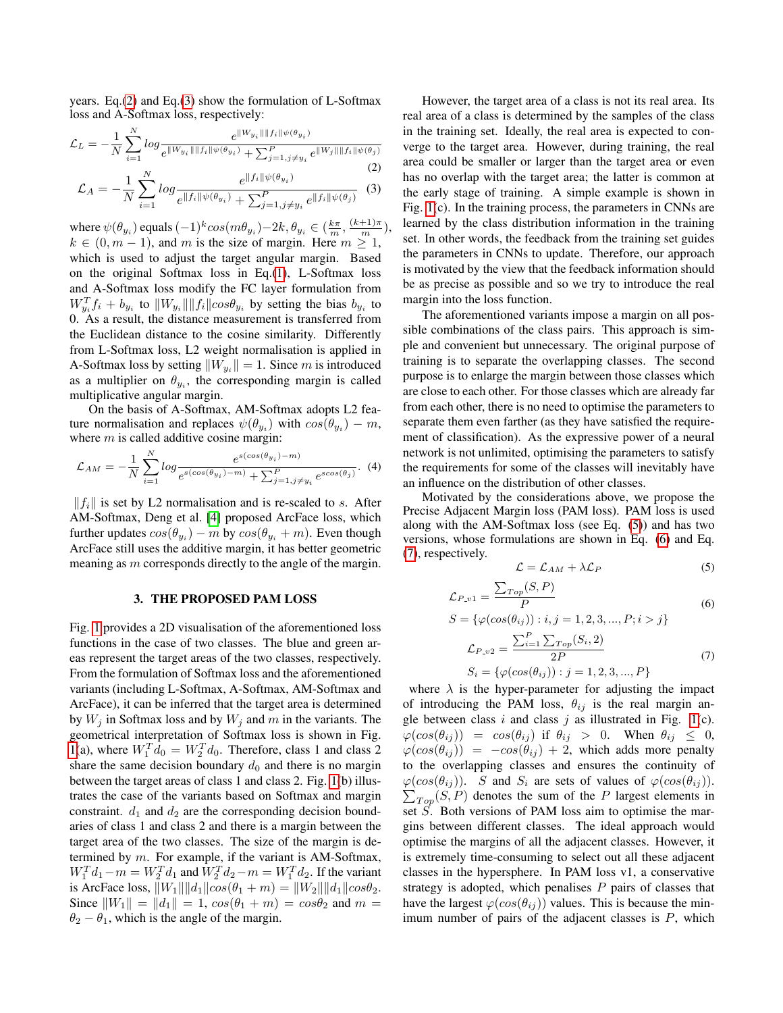years. Eq.[\(2\)](#page-1-0) and Eq.[\(3\)](#page-1-1) show the formulation of L-Softmax loss and A-Softmax loss, respectively:

<span id="page-1-0"></span>
$$
\mathcal{L}_L = -\frac{1}{N} \sum_{i=1}^N \log \frac{e^{\|W_{y_i}\| \|f_i\| \psi(\theta_{y_i})}}{e^{\|W_{y_i}\| \|f_i\| \psi(\theta_{y_i})} + \sum_{j=1, j \neq y_i}^P e^{\|W_j\| \|f_i\| \psi(\theta_j)}} \tag{2}
$$
\n
$$
\mathcal{L}_A = -\frac{1}{N} \sum_{i=1}^N \log \frac{e^{\|f_i\| \psi(\theta_{y_i})}}{e^{\|f_i\| \psi(\theta_{y_i})} + \sum_{j=1, j \neq y_i}^P e^{\|f_i\| \psi(\theta_j)}} \tag{3}
$$

<span id="page-1-1"></span>where  $\psi(\theta_{y_i})$  equals  $(-1)^k cos(m\theta_{y_i})-2k, \theta_{y_i} \in (\frac{k\pi}{m}, \frac{(k+1)\pi}{m}),$  $k \in (0, m - 1)$ , and m is the size of margin. Here  $m \ge 1$ , which is used to adjust the target angular margin. Based on the original Softmax loss in Eq.[\(1\)](#page-0-1), L-Softmax loss and A-Softmax loss modify the FC layer formulation from  $W_{y_i}^T f_i + b_{y_i}$  to  $||W_{y_i}|| ||f_i|| cos \theta_{y_i}$  by setting the bias  $b_{y_i}$  to 0. As a result, the distance measurement is transferred from the Euclidean distance to the cosine similarity. Differently from L-Softmax loss, L2 weight normalisation is applied in A-Softmax loss by setting  $||W_{y_i}|| = 1$ . Since m is introduced as a multiplier on  $\theta_{y_i}$ , the corresponding margin is called multiplicative angular margin.

On the basis of A-Softmax, AM-Softmax adopts L2 feature normalisation and replaces  $\psi(\theta_{y_i})$  with  $cos(\theta_{y_i}) - m$ , where  $m$  is called additive cosine margin:

$$
\mathcal{L}_{AM} = -\frac{1}{N} \sum_{i=1}^{N} \log \frac{e^{s(\cos(\theta_{y_i}) - m)}}{e^{s(\cos(\theta_{y_i}) - m)} + \sum_{j=1, j \neq y_i}^{P} e^{s\cos(\theta_j)}}.
$$
 (4)

 $||f_i||$  is set by L2 normalisation and is re-scaled to s. After AM-Softmax, Deng et al. [\[4\]](#page-4-3) proposed ArcFace loss, which further updates  $cos(\theta_{y_i}) - m$  by  $cos(\theta_{y_i} + m)$ . Even though ArcFace still uses the additive margin, it has better geometric meaning as m corresponds directly to the angle of the margin.

## 3. THE PROPOSED PAM LOSS

Fig. [1](#page-2-0) provides a 2D visualisation of the aforementioned loss functions in the case of two classes. The blue and green areas represent the target areas of the two classes, respectively. From the formulation of Softmax loss and the aforementioned variants (including L-Softmax, A-Softmax, AM-Softmax and ArcFace), it can be inferred that the target area is determined by  $W_i$  in Softmax loss and by  $W_i$  and m in the variants. The geometrical interpretation of Softmax loss is shown in Fig. [1\(](#page-2-0)a), where  $W_1^T d_0 = W_2^T d_0$ . Therefore, class 1 and class 2 share the same decision boundary  $d_0$  and there is no margin between the target areas of class 1 and class 2. Fig. [1\(](#page-2-0)b) illustrates the case of the variants based on Softmax and margin constraint.  $d_1$  and  $d_2$  are the corresponding decision boundaries of class 1 and class 2 and there is a margin between the target area of the two classes. The size of the margin is determined by m. For example, if the variant is AM-Softmax,  $W_1^T d_1 - m = W_2^T d_1$  and  $W_2^T d_2 - m = W_1^T d_2$ . If the variant is ArcFace loss,  $||W_1|| ||d_1|| cos(\theta_1 + m) = ||W_2|| ||d_1|| cos \theta_2$ . Since  $||W_1|| = ||d_1|| = 1$ ,  $cos(\theta_1 + m) = cos\theta_2$  and  $m =$  $\theta_2 - \theta_1$ , which is the angle of the margin.

However, the target area of a class is not its real area. Its real area of a class is determined by the samples of the class in the training set. Ideally, the real area is expected to converge to the target area. However, during training, the real area could be smaller or larger than the target area or even has no overlap with the target area; the latter is common at the early stage of training. A simple example is shown in Fig. [1\(](#page-2-0)c). In the training process, the parameters in CNNs are learned by the class distribution information in the training set. In other words, the feedback from the training set guides the parameters in CNNs to update. Therefore, our approach is motivated by the view that the feedback information should be as precise as possible and so we try to introduce the real margin into the loss function.

The aforementioned variants impose a margin on all possible combinations of the class pairs. This approach is simple and convenient but unnecessary. The original purpose of training is to separate the overlapping classes. The second purpose is to enlarge the margin between those classes which are close to each other. For those classes which are already far from each other, there is no need to optimise the parameters to separate them even farther (as they have satisfied the requirement of classification). As the expressive power of a neural network is not unlimited, optimising the parameters to satisfy the requirements for some of the classes will inevitably have an influence on the distribution of other classes.

Motivated by the considerations above, we propose the Precise Adjacent Margin loss (PAM loss). PAM loss is used along with the AM-Softmax loss (see Eq. [\(5\)](#page-1-2)) and has two versions, whose formulations are shown in Eq. [\(6\)](#page-1-3) and Eq. [\(7\)](#page-1-4), respectively.

<span id="page-1-2"></span>
$$
\mathcal{L} = \mathcal{L}_{AM} + \lambda \mathcal{L}_P \tag{5}
$$

<span id="page-1-3"></span>
$$
\mathcal{L}_{P.v1} = \frac{\sum_{Top}(S, P)}{P} \tag{6}
$$

<span id="page-1-4"></span>
$$
S = \{\varphi(\cos(\theta_{ij})) : i, j = 1, 2, 3, ..., P; i > j\}
$$

$$
\mathcal{L}_{P \cdot v2} = \frac{\sum_{i=1}^{P} \sum_{Top}(S_i, 2)}{2P}
$$

$$
S_i = \{\varphi(\cos(\theta_{ij})) : j = 1, 2, 3, ..., P\}
$$
(7)

where  $\lambda$  is the hyper-parameter for adjusting the impact of introducing the PAM loss,  $\theta_{ij}$  is the real margin angle between class  $i$  and class  $j$  as illustrated in Fig. [1\(](#page-2-0)c).  $\varphi(cos(\theta_{ij})) = cos(\theta_{ij})$  if  $\theta_{ij} > 0$ . When  $\theta_{ij} \leq 0$ ,  $\varphi(cos(\theta_{ij})) = -cos(\theta_{ij}) + 2$ , which adds more penalty to the overlapping classes and ensures the continuity of  $\varphi(cos(\theta_{ij}))$ . S and  $S_i$  are sets of values of  $\varphi(cos(\theta_{ij}))$ .  $\sum_{Top}(S, P)$  denotes the sum of the P largest elements in set  $\hat{S}$ . Both versions of PAM loss aim to optimise the margins between different classes. The ideal approach would optimise the margins of all the adjacent classes. However, it is extremely time-consuming to select out all these adjacent classes in the hypersphere. In PAM loss v1, a conservative strategy is adopted, which penalises  $P$  pairs of classes that have the largest  $\varphi(cos(\theta_{ij}))$  values. This is because the minimum number of pairs of the adjacent classes is  $P$ , which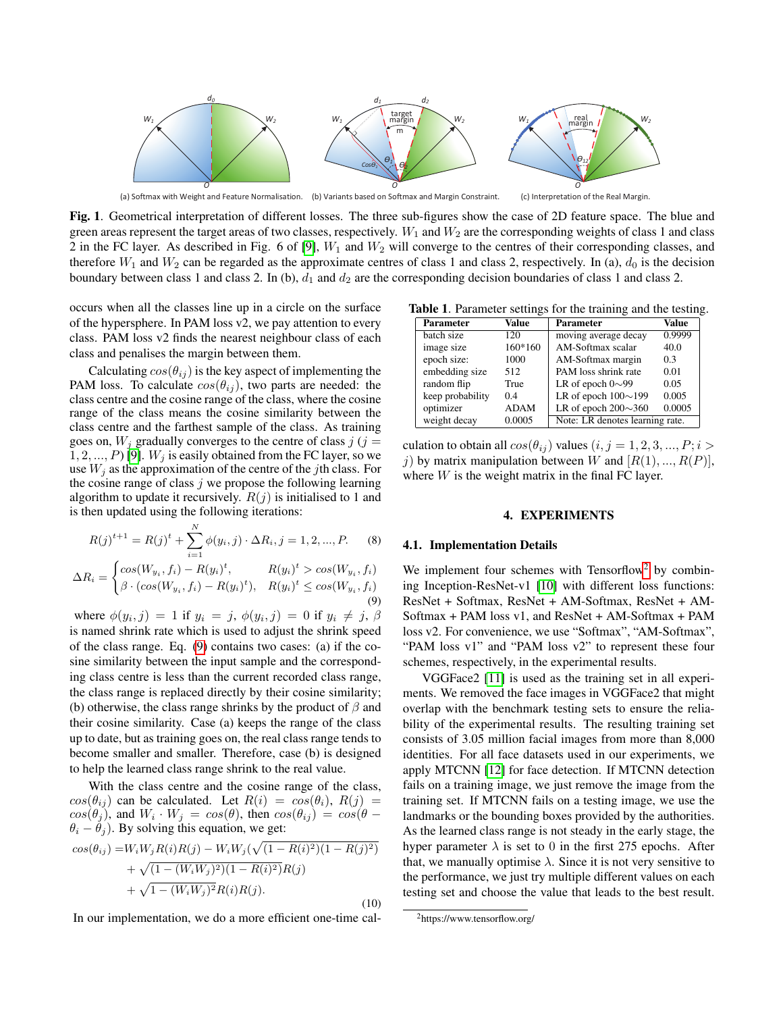

<span id="page-2-0"></span>(a) Softmax with Weight and Feature Normalisation. (b) Variants based on Softmax and Margin Constraint. (c) Interpretation of the Real Margin.

Fig. 1. Geometrical interpretation of different losses. The three sub-figures show the case of 2D feature space. The blue and green areas represent the target areas of two classes, respectively.  $W_1$  and  $W_2$  are the corresponding weights of class 1 and class 2 in the FC layer. As described in Fig. 6 of [\[9\]](#page-4-8),  $W_1$  and  $W_2$  will converge to the centres of their corresponding classes, and therefore  $W_1$  and  $W_2$  can be regarded as the approximate centres of class 1 and class 2, respectively. In (a),  $d_0$  is the decision boundary between class 1 and class 2. In (b),  $d_1$  and  $d_2$  are the corresponding decision boundaries of class 1 and class 2.

occurs when all the classes line up in a circle on the surface of the hypersphere. In PAM loss v2, we pay attention to every class. PAM loss v2 finds the nearest neighbour class of each class and penalises the margin between them.

Calculating  $cos(\theta_{ij})$  is the key aspect of implementing the PAM loss. To calculate  $cos(\theta_{ij})$ , two parts are needed: the class centre and the cosine range of the class, where the cosine range of the class means the cosine similarity between the class centre and the farthest sample of the class. As training goes on,  $W_i$  gradually converges to the centre of class  $j$  ( $j =$  $1, 2, ..., P$  [\[9\]](#page-4-8).  $W_i$  is easily obtained from the FC layer, so we use  $W_i$  as the approximation of the centre of the *j*th class. For the cosine range of class  $j$  we propose the following learning algorithm to update it recursively.  $R(j)$  is initialised to 1 and is then updated using the following iterations:

$$
R(j)^{t+1} = R(j)^{t} + \sum_{i=1}^{N} \phi(y_i, j) \cdot \Delta R_i, j = 1, 2, ..., P.
$$
 (8)

<span id="page-2-1"></span>
$$
\Delta R_i = \begin{cases}\n\cos(W_{y_i}, f_i) - R(y_i)^t, & R(y_i)^t > \cos(W_{y_i}, f_i) \\
\beta \cdot (\cos(W_{y_i}, f_i) - R(y_i)^t), & R(y_i)^t \le \cos(W_{y_i}, f_i)\n\end{cases}
$$
\n(9)

where  $\phi(y_i, j) = 1$  if  $y_i = j$ ,  $\phi(y_i, j) = 0$  if  $y_i \neq j$ ,  $\beta$ is named shrink rate which is used to adjust the shrink speed of the class range. Eq. [\(9\)](#page-2-1) contains two cases: (a) if the cosine similarity between the input sample and the corresponding class centre is less than the current recorded class range, the class range is replaced directly by their cosine similarity; (b) otherwise, the class range shrinks by the product of  $\beta$  and their cosine similarity. Case (a) keeps the range of the class up to date, but as training goes on, the real class range tends to become smaller and smaller. Therefore, case (b) is designed to help the learned class range shrink to the real value.

With the class centre and the cosine range of the class,  $cos(\theta_{ij})$  can be calculated. Let  $R(i) = cos(\theta_i)$ ,  $R(j) =$  $cos(\theta_j)$ , and  $W_i \cdot W_j = cos(\theta)$ , then  $cos(\theta_{ij}) = cos(\theta - \theta)$  $\theta_i - \tilde{\theta}_i$ ). By solving this equation, we get:

$$
cos(\theta_{ij}) = W_i W_j R(i)R(j) - W_i W_j (\sqrt{(1 - R(i)^2)(1 - R(j)^2)} + \sqrt{(1 - (W_i W_j)^2)(1 - R(i)^2)}R(j) + \sqrt{1 - (W_i W_j)^2}R(i)R(j).
$$
\n(10)

In our implementation, we do a more efficient one-time cal-

Table 1. Parameter settings for the training and the testing.

<span id="page-2-3"></span>

| <b>Parameter</b> | Value       | <b>Parameter</b>                | Value  |
|------------------|-------------|---------------------------------|--------|
| batch size       | 120         | moving average decay            | 0.9999 |
| image size       | 160*160     | AM-Softmax scalar               | 40.0   |
| epoch size:      | 1000        | AM-Softmax margin               | 0.3    |
| embedding size   | 512         | PAM loss shrink rate            | 0.01   |
| random flip      | True        | LR of epoch $0\sim 99$          | 0.05   |
| keep probability | 0.4         | LR of epoch $100 \sim 199$      | 0.005  |
| optimizer        | <b>ADAM</b> | LR of epoch $200 \sim 360$      | 0.0005 |
| weight decay     | 0.0005      | Note: LR denotes learning rate. |        |

culation to obtain all  $cos(\theta_{ij})$  values  $(i, j = 1, 2, 3, ..., P; i >$ j) by matrix manipulation between W and  $[R(1), ..., R(P)]$ , where  $W$  is the weight matrix in the final FC layer.

## 4. EXPERIMENTS

#### 4.1. Implementation Details

We implement four schemes with  $Tensorflow<sup>2</sup>$  $Tensorflow<sup>2</sup>$  $Tensorflow<sup>2</sup>$  by combining Inception-ResNet-v1 [\[10\]](#page-4-9) with different loss functions: ResNet + Softmax, ResNet + AM-Softmax, ResNet + AM-Softmax + PAM loss v1, and ResNet + AM-Softmax + PAM loss v2. For convenience, we use "Softmax", "AM-Softmax", "PAM loss v1" and "PAM loss v2" to represent these four schemes, respectively, in the experimental results.

VGGFace2 [\[11\]](#page-4-10) is used as the training set in all experiments. We removed the face images in VGGFace2 that might overlap with the benchmark testing sets to ensure the reliability of the experimental results. The resulting training set consists of 3.05 million facial images from more than 8,000 identities. For all face datasets used in our experiments, we apply MTCNN [\[12\]](#page-4-11) for face detection. If MTCNN detection fails on a training image, we just remove the image from the training set. If MTCNN fails on a testing image, we use the landmarks or the bounding boxes provided by the authorities. As the learned class range is not steady in the early stage, the hyper parameter  $\lambda$  is set to 0 in the first 275 epochs. After that, we manually optimise  $\lambda$ . Since it is not very sensitive to the performance, we just try multiple different values on each testing set and choose the value that leads to the best result.

<span id="page-2-2"></span><sup>2</sup>https://www.tensorflow.org/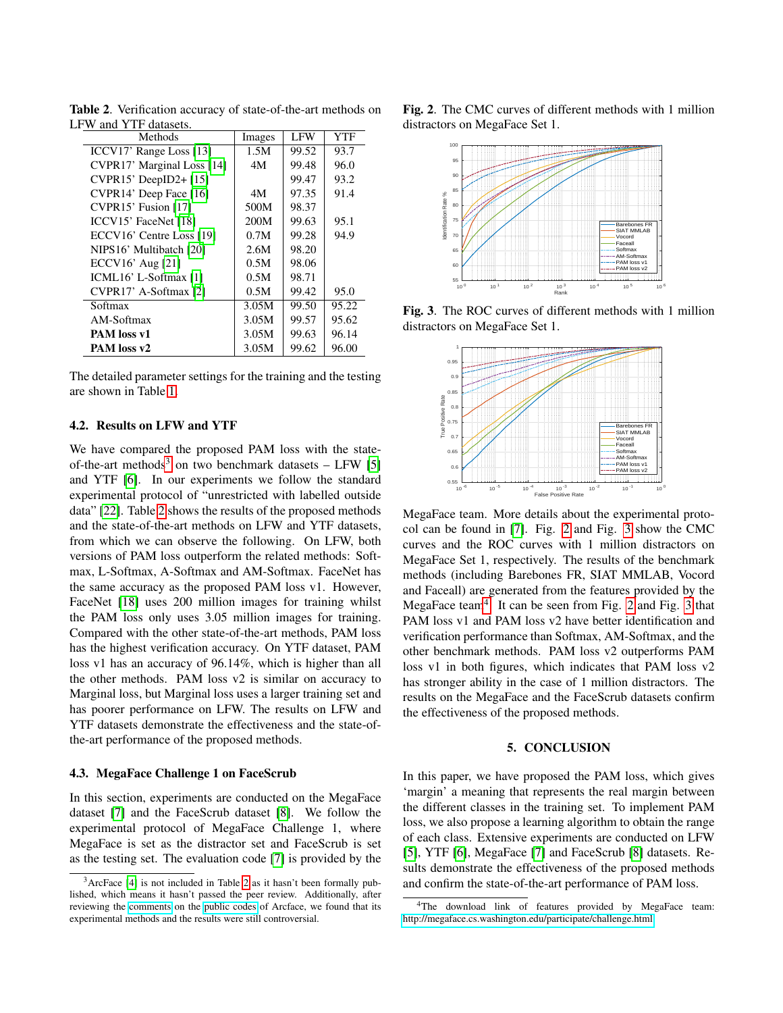<span id="page-3-1"></span>

| Methods                     | Images | <b>LFW</b> | <b>YTF</b> |
|-----------------------------|--------|------------|------------|
| ICCV17' Range Loss [13]     | 1.5M   | 99.52      | 93.7       |
| CVPR17' Marginal Loss [14]  | 4M     | 99.48      | 96.0       |
| CVPR15' DeepID2+[15]        |        | 99.47      | 93.2       |
| CVPR14' Deep Face [16]      | 4M     | 97.35      | 91.4       |
| CVPR15' Fusion [17]         | 500M   | 98.37      |            |
| <b>ICCV15' FaceNet [18]</b> | 200M   | 99.63      | 95.1       |
| ECCV16' Centre Loss [19]    | 0.7M   | 99.28      | 94.9       |
| NIPS16' Multibatch [20]     | 2.6M   | 98.20      |            |
| ECCV16' Aug $[21]$          | 0.5M   | 98.06      |            |
| ICML16' L-Softmax [1]       | 0.5M   | 98.71      |            |
| CVPR17' A-Softmax [2]       | 0.5M   | 99.42      | 95.0       |
| Softmax                     | 3.05M  | 99.50      | 95.22      |
| AM-Softmax                  | 3.05M  | 99.57      | 95.62      |
| PAM loss v1                 | 3.05M  | 99.63      | 96.14      |
| PAM loss v2                 | 3.05M  | 99.62      | 96.00      |

Table 2. Verification accuracy of state-of-the-art methods on LFW and YTF datasets.

The detailed parameter settings for the training and the testing are shown in Table [1.](#page-2-3)

### 4.2. Results on LFW and YTF

We have compared the proposed PAM loss with the state-of-the-art methods<sup>[3](#page-3-0)</sup> on two benchmark datasets  $-$  LFW [\[5\]](#page-4-4) and YTF [\[6\]](#page-4-5). In our experiments we follow the standard experimental protocol of "unrestricted with labelled outside data" [\[22\]](#page-4-21). Table [2](#page-3-1) shows the results of the proposed methods and the state-of-the-art methods on LFW and YTF datasets, from which we can observe the following. On LFW, both versions of PAM loss outperform the related methods: Softmax, L-Softmax, A-Softmax and AM-Softmax. FaceNet has the same accuracy as the proposed PAM loss v1. However, FaceNet [\[18\]](#page-4-17) uses 200 million images for training whilst the PAM loss only uses 3.05 million images for training. Compared with the other state-of-the-art methods, PAM loss has the highest verification accuracy. On YTF dataset, PAM loss v1 has an accuracy of 96.14%, which is higher than all the other methods. PAM loss v2 is similar on accuracy to Marginal loss, but Marginal loss uses a larger training set and has poorer performance on LFW. The results on LFW and YTF datasets demonstrate the effectiveness and the state-ofthe-art performance of the proposed methods.

### 4.3. MegaFace Challenge 1 on FaceScrub

In this section, experiments are conducted on the MegaFace dataset [\[7\]](#page-4-6) and the FaceScrub dataset [\[8\]](#page-4-7). We follow the experimental protocol of MegaFace Challenge 1, where MegaFace is set as the distractor set and FaceScrub is set as the testing set. The evaluation code [\[7\]](#page-4-6) is provided by the Fig. 2. The CMC curves of different methods with 1 million distractors on MegaFace Set 1.

<span id="page-3-2"></span>

<span id="page-3-3"></span>Fig. 3. The ROC curves of different methods with 1 million distractors on MegaFace Set 1.



MegaFace team. More details about the experimental protocol can be found in [\[7\]](#page-4-6). Fig. [2](#page-3-2) and Fig. [3](#page-3-3) show the CMC curves and the ROC curves with 1 million distractors on MegaFace Set 1, respectively. The results of the benchmark methods (including Barebones FR, SIAT MMLAB, Vocord and Faceall) are generated from the features provided by the MegaFace team<sup>[4](#page-3-4)</sup>. It can be seen from Fig. [2](#page-3-2) and Fig. [3](#page-3-3) that PAM loss v1 and PAM loss v2 have better identification and verification performance than Softmax, AM-Softmax, and the other benchmark methods. PAM loss v2 outperforms PAM loss v1 in both figures, which indicates that PAM loss v2 has stronger ability in the case of 1 million distractors. The results on the MegaFace and the FaceScrub datasets confirm the effectiveness of the proposed methods.

### 5. CONCLUSION

In this paper, we have proposed the PAM loss, which gives 'margin' a meaning that represents the real margin between the different classes in the training set. To implement PAM loss, we also propose a learning algorithm to obtain the range of each class. Extensive experiments are conducted on LFW [\[5\]](#page-4-4), YTF [\[6\]](#page-4-5), MegaFace [\[7\]](#page-4-6) and FaceScrub [\[8\]](#page-4-7) datasets. Results demonstrate the effectiveness of the proposed methods and confirm the state-of-the-art performance of PAM loss.

<span id="page-3-0"></span><sup>3</sup>ArcFace [\[4\]](#page-4-3) is not included in Table [2](#page-3-1) as it hasn't been formally published, which means it hasn't passed the peer review. Additionally, after reviewing the [comments](https://github.com/deepinsight/insightface/issues?q=reproduce+sort%3Acomments-desc) on the [public codes](https://github.com/deepinsight/insightface) of Arcface, we found that its experimental methods and the results were still controversial.

<span id="page-3-4"></span><sup>&</sup>lt;sup>4</sup>The download link of features provided by MegaFace team: <http://megaface.cs.washington.edu/participate/challenge.html>